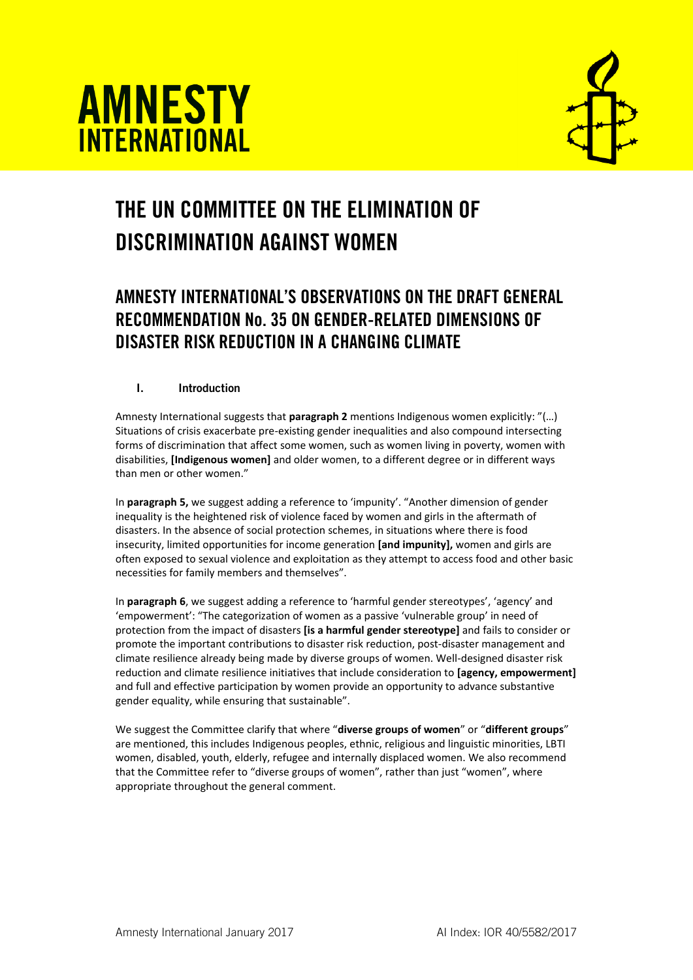



# THE UN COMMITTEE ON THE ELIMINATION OF DISCRIMINATION AGAINST WOMEN

# AMNESTY INTERNATIONAL'S OBSERVATIONS ON THE DRAFT GENERAL RECOMMENDATION No. 35 ON GENDER-RELATED DIMENSIONS OF DISASTER RISK REDUCTION IN A CHANGING CLIMATE

# I. Introduction

Amnesty International suggests that **paragraph 2** mentions Indigenous women explicitly: "(…) Situations of crisis exacerbate pre-existing gender inequalities and also compound intersecting forms of discrimination that affect some women, such as women living in poverty, women with disabilities, **[Indigenous women]** and older women, to a different degree or in different ways than men or other women."

In **paragraph 5,** we suggest adding a reference to 'impunity'. "Another dimension of gender inequality is the heightened risk of violence faced by women and girls in the aftermath of disasters. In the absence of social protection schemes, in situations where there is food insecurity, limited opportunities for income generation **[and impunity],** women and girls are often exposed to sexual violence and exploitation as they attempt to access food and other basic necessities for family members and themselves".

In **paragraph 6**, we suggest adding a reference to 'harmful gender stereotypes', 'agency' and 'empowerment': "The categorization of women as a passive 'vulnerable group' in need of protection from the impact of disasters **[is a harmful gender stereotype]** and fails to consider or promote the important contributions to disaster risk reduction, post-disaster management and climate resilience already being made by diverse groups of women. Well-designed disaster risk reduction and climate resilience initiatives that include consideration to **[agency, empowerment]** and full and effective participation by women provide an opportunity to advance substantive gender equality, while ensuring that sustainable".

We suggest the Committee clarify that where "**diverse groups of women**" or "**different groups**" are mentioned, this includes Indigenous peoples, ethnic, religious and linguistic minorities, LBTI women, disabled, youth, elderly, refugee and internally displaced women. We also recommend that the Committee refer to "diverse groups of women", rather than just "women", where appropriate throughout the general comment.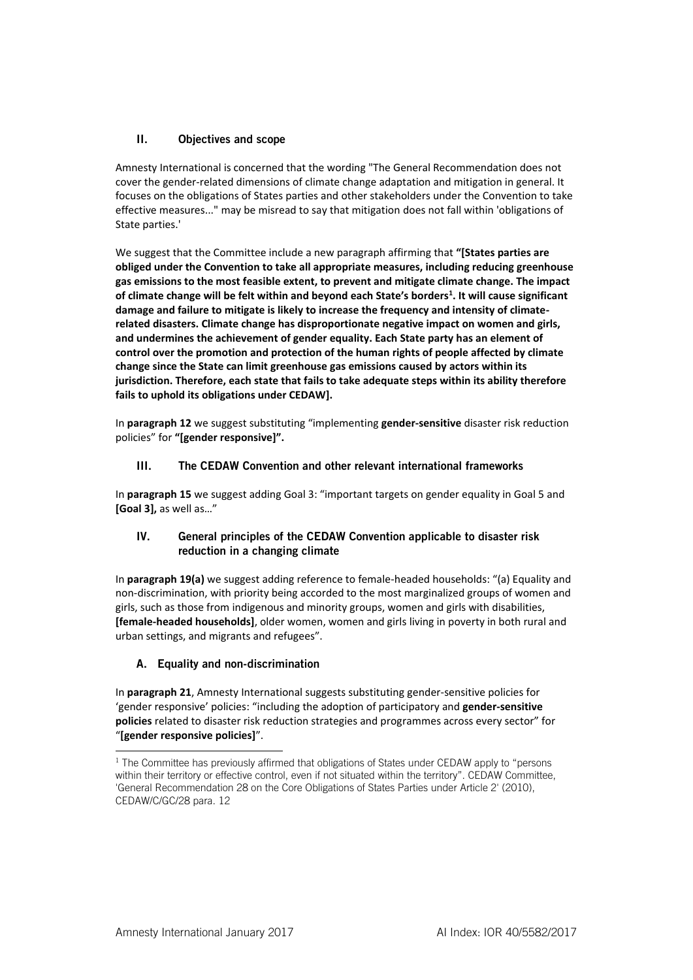# II. Objectives and scope

Amnesty International is concerned that the wording "The General Recommendation does not cover the gender-related dimensions of climate change adaptation and mitigation in general. It focuses on the obligations of States parties and other stakeholders under the Convention to take effective measures..." may be misread to say that mitigation does not fall within 'obligations of State parties.'

We suggest that the Committee include a new paragraph affirming that **"[States parties are obliged under the Convention to take all appropriate measures, including reducing greenhouse gas emissions to the most feasible extent, to prevent and mitigate climate change. The impact of climate change will be felt within and beyond each State's borders<sup>1</sup> . It will cause significant damage and failure to mitigate is likely to increase the frequency and intensity of climaterelated disasters. Climate change has disproportionate negative impact on women and girls, and undermines the achievement of gender equality. Each State party has an element of control over the promotion and protection of the human rights of people affected by climate change since the State can limit greenhouse gas emissions caused by actors within its jurisdiction. Therefore, each state that fails to take adequate steps within its ability therefore fails to uphold its obligations under CEDAW].**

In **paragraph 12** we suggest substituting "implementing **gender-sensitive** disaster risk reduction policies" for **"[gender responsive]".**

# III. The CEDAW Convention and other relevant international frameworks

In **paragraph 15** we suggest adding Goal 3: "important targets on gender equality in Goal 5 and **[Goal 3],** as well as…"

#### IV. General principles of the CEDAW Convention applicable to disaster risk reduction in a changing climate

In **paragraph 19(a)** we suggest adding reference to female-headed households: "(a) Equality and non-discrimination, with priority being accorded to the most marginalized groups of women and girls, such as those from indigenous and minority groups, women and girls with disabilities, **[female-headed households]**, older women, women and girls living in poverty in both rural and urban settings, and migrants and refugees".

# A. Equality and non-discrimination

In **paragraph 21**, Amnesty International suggests substituting gender-sensitive policies for 'gender responsive' policies: "including the adoption of participatory and **gender-sensitive policies** related to disaster risk reduction strategies and programmes across every sector" for "**[gender responsive policies]**".

-

<sup>&</sup>lt;sup>1</sup> The Committee has previously affirmed that obligations of States under CEDAW apply to "persons" within their territory or effective control, even if not situated within the territory". CEDAW Committee, 'General Recommendation 28 on the Core Obligations of States Parties under Article 2' (2010), CEDAW/C/GC/28 para. 12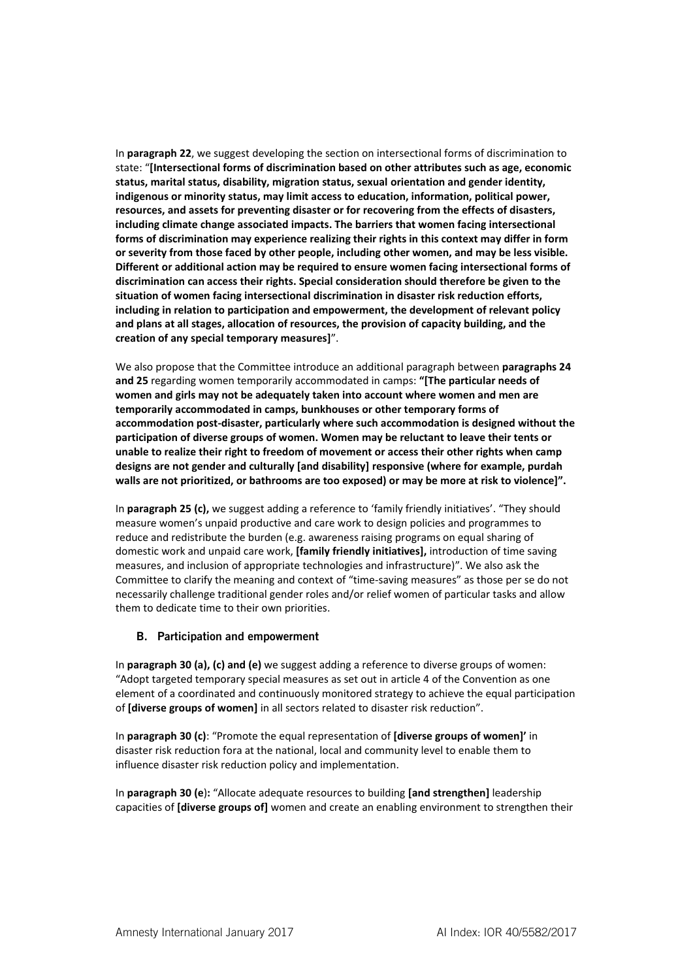In **paragraph 22**, we suggest developing the section on intersectional forms of discrimination to state: "**[Intersectional forms of discrimination based on other attributes such as age, economic status, marital status, disability, migration status, sexual orientation and gender identity, indigenous or minority status, may limit access to education, information, political power, resources, and assets for preventing disaster or for recovering from the effects of disasters, including climate change associated impacts. The barriers that women facing intersectional forms of discrimination may experience realizing their rights in this context may differ in form or severity from those faced by other people, including other women, and may be less visible. Different or additional action may be required to ensure women facing intersectional forms of discrimination can access their rights. Special consideration should therefore be given to the situation of women facing intersectional discrimination in disaster risk reduction efforts, including in relation to participation and empowerment, the development of relevant policy and plans at all stages, allocation of resources, the provision of capacity building, and the creation of any special temporary measures]**".

We also propose that the Committee introduce an additional paragraph between **paragraphs 24 and 25** regarding women temporarily accommodated in camps: **"[The particular needs of women and girls may not be adequately taken into account where women and men are temporarily accommodated in camps, bunkhouses or other temporary forms of accommodation post-disaster, particularly where such accommodation is designed without the participation of diverse groups of women. Women may be reluctant to leave their tents or unable to realize their right to freedom of movement or access their other rights when camp designs are not gender and culturally [and disability] responsive (where for example, purdah walls are not prioritized, or bathrooms are too exposed) or may be more at risk to violence]".**

In **paragraph 25 (c),** we suggest adding a reference to 'family friendly initiatives'. "They should measure women's unpaid productive and care work to design policies and programmes to reduce and redistribute the burden (e.g. awareness raising programs on equal sharing of domestic work and unpaid care work, **[family friendly initiatives],** introduction of time saving measures, and inclusion of appropriate technologies and infrastructure)". We also ask the Committee to clarify the meaning and context of "time-saving measures" as those per se do not necessarily challenge traditional gender roles and/or relief women of particular tasks and allow them to dedicate time to their own priorities.

# B. Participation and empowerment

In **paragraph 30 (a), (c) and (e)** we suggest adding a reference to diverse groups of women: "Adopt targeted temporary special measures as set out in article 4 of the Convention as one element of a coordinated and continuously monitored strategy to achieve the equal participation of **[diverse groups of women]** in all sectors related to disaster risk reduction".

In **paragraph 30 (c)**: "Promote the equal representation of **[diverse groups of women]'** in disaster risk reduction fora at the national, local and community level to enable them to influence disaster risk reduction policy and implementation.

In **paragraph 30 (e**)**:** "Allocate adequate resources to building **[and strengthen]** leadership capacities of **[diverse groups of]** women and create an enabling environment to strengthen their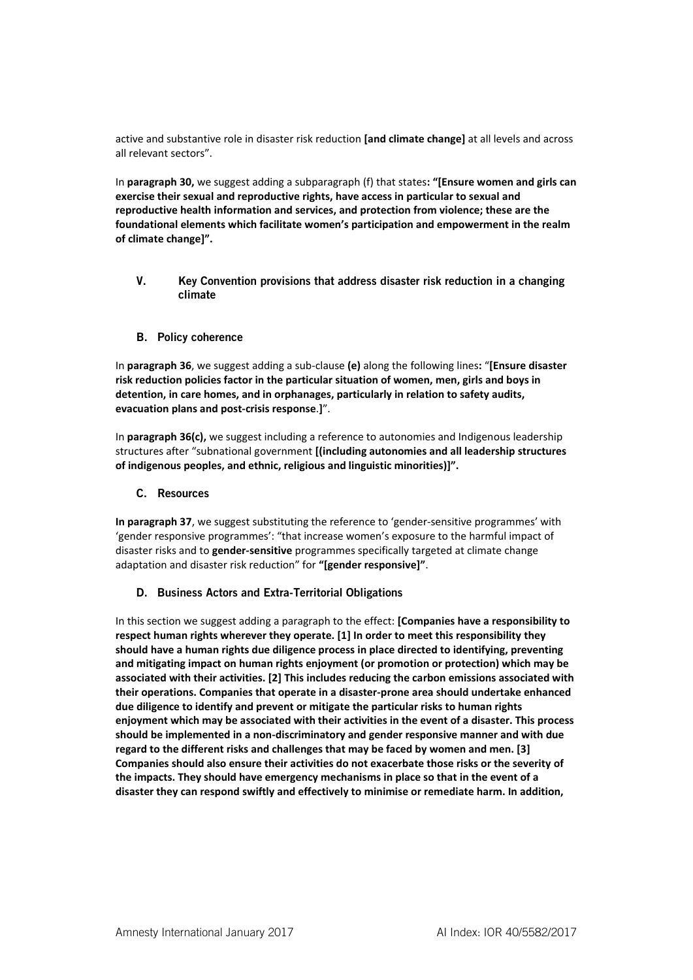active and substantive role in disaster risk reduction **[and climate change]** at all levels and across all relevant sectors".

In **paragraph 30,** we suggest adding a subparagraph (f) that states**: "[Ensure women and girls can exercise their sexual and reproductive rights, have access in particular to sexual and reproductive health information and services, and protection from violence; these are the foundational elements which facilitate women's participation and empowerment in the realm of climate change]".**

V. Key Convention provisions that address disaster risk reduction in a changing climate

#### B. Policy coherence

In **paragraph 36**, we suggest adding a sub-clause **(e)** along the following lines**:** "**[Ensure disaster risk reduction policies factor in the particular situation of women, men, girls and boys in detention, in care homes, and in orphanages, particularly in relation to safety audits, evacuation plans and post-crisis response**.**]**".

In **paragraph 36(c),** we suggest including a reference to autonomies and Indigenous leadership structures after "subnational government **[(including autonomies and all leadership structures of indigenous peoples, and ethnic, religious and linguistic minorities)]".**

#### C. Resources

**In paragraph 37**, we suggest substituting the reference to 'gender-sensitive programmes' with 'gender responsive programmes': "that increase women's exposure to the harmful impact of disaster risks and to **gender-sensitive** programmes specifically targeted at climate change adaptation and disaster risk reduction" for **"[gender responsive]"**.

# D. Business Actors and Extra-Territorial Obligations

In this section we suggest adding a paragraph to the effect: **[Companies have a responsibility to respect human rights wherever they operate. [1] In order to meet this responsibility they should have a human rights due diligence process in place directed to identifying, preventing and mitigating impact on human rights enjoyment (or promotion or protection) which may be associated with their activities. [2] This includes reducing the carbon emissions associated with their operations. Companies that operate in a disaster-prone area should undertake enhanced due diligence to identify and prevent or mitigate the particular risks to human rights enjoyment which may be associated with their activities in the event of a disaster. This process should be implemented in a non-discriminatory and gender responsive manner and with due regard to the different risks and challenges that may be faced by women and men. [3] Companies should also ensure their activities do not exacerbate those risks or the severity of the impacts. They should have emergency mechanisms in place so that in the event of a disaster they can respond swiftly and effectively to minimise or remediate harm. In addition,**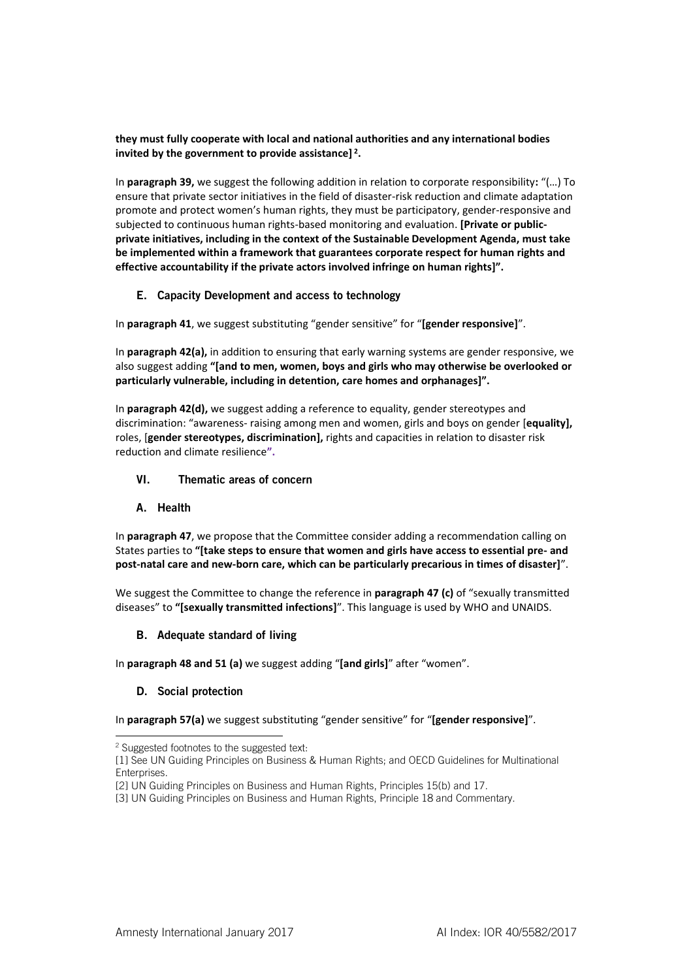**they must fully cooperate with local and national authorities and any international bodies invited by the government to provide assistance] <sup>2</sup> .** 

In **paragraph 39,** we suggest the following addition in relation to corporate responsibility**:** "(…) To ensure that private sector initiatives in the field of disaster-risk reduction and climate adaptation promote and protect women's human rights, they must be participatory, gender-responsive and subjected to continuous human rights-based monitoring and evaluation. **[Private or publicprivate initiatives, including in the context of the Sustainable Development Agenda, must take be implemented within a framework that guarantees corporate respect for human rights and effective accountability if the private actors involved infringe on human rights]".**

# E. Capacity Development and access to technology

In **paragraph 41**, we suggest substituting "gender sensitive" for "**[gender responsive]**".

In **paragraph 42(a),** in addition to ensuring that early warning systems are gender responsive, we also suggest adding **"[and to men, women, boys and girls who may otherwise be overlooked or particularly vulnerable, including in detention, care homes and orphanages]".**

In **paragraph 42(d),** we suggest adding a reference to equality, gender stereotypes and discrimination: "awareness- raising among men and women, girls and boys on gender [**equality],** roles, [**gender stereotypes, discrimination],** rights and capacities in relation to disaster risk reduction and climate resilience**".**

# VI. Thematic areas of concern

# A. Health

In **paragraph 47**, we propose that the Committee consider adding a recommendation calling on States parties to **"[take steps to ensure that women and girls have access to essential pre- and post-natal care and new-born care, which can be particularly precarious in times of disaster]**".

We suggest the Committee to change the reference in **paragraph 47 (c)** of "sexually transmitted diseases" to **"[sexually transmitted infections]**". This language is used by WHO and UNAIDS.

# B. Adequate standard of living

In **paragraph 48 and 51 (a)** we suggest adding "**[and girls]**" after "women".

# D. Social protection

In **paragraph 57(a)** we suggest substituting "gender sensitive" for "**[gender responsive]**".

<sup>2</sup> Suggested footnotes to the suggested text:

<sup>[1]</sup> See UN Guiding Principles on Business & Human Rights; and OECD Guidelines for Multinational Enterprises.

<sup>[2]</sup> UN Guiding Principles on Business and Human Rights, Principles 15(b) and 17.

<sup>[3]</sup> UN Guiding Principles on Business and Human Rights, Principle 18 and Commentary.